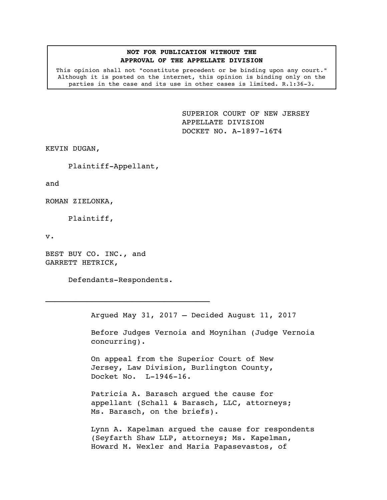## **NOT FOR PUBLICATION WITHOUT THE APPROVAL OF THE APPELLATE DIVISION**

This opinion shall not "constitute precedent or be binding upon any court." Although it is posted on the internet, this opinion is binding only on the parties in the case and its use in other cases is limited. R.1:36-3.

> <span id="page-0-0"></span>SUPERIOR COURT OF NEW JERSEY APPELLATE DIVISION DOCKET NO. A-1897-16T4

KEVIN DUGAN,

Plaintiff-Appellant,

and

ROMAN ZIELONKA,

Plaintiff,

v.

BEST BUY CO. INC., and GARRETT HETRICK,

Defendants-Respondents.

 $\mathcal{L}_\text{max}$ 

Argued May 31, 2017 – Decided August 11, 2017

Before Judges Vernoia and Moynihan (Judge Vernoia concurring).

On appeal from the Superior Court of New Jersey, Law Division, Burlington County, Docket No. L-1946-16.

Patricia A. Barasch argued the cause for appellant (Schall & Barasch, LLC, attorneys; Ms. Barasch, on the briefs).

Lynn A. Kapelman argued the cause for respondents (Seyfarth Shaw LLP, attorneys; Ms. Kapelman, Howard M. Wexler and Maria Papasevastos, of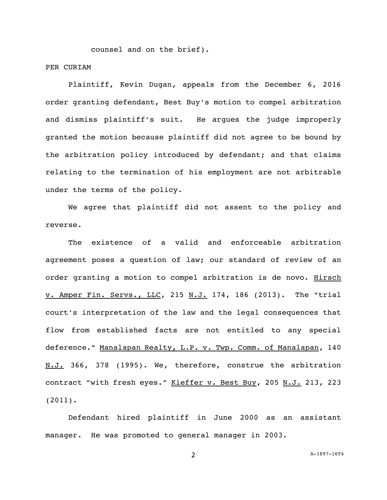counsel and on the brief).

## PER CURIAM

Plaintiff, Kevin Dugan, appeals from the December 6, 2016 order granting defendant, Best Buy's motion to compel arbitration and dismiss plaintiff's suit. He argues the judge improperly granted the motion because plaintiff did not agree to be bound by the arbitration policy introduced by defendant; and that claims relating to the termination of his employment are not arbitrable under the terms of the policy.

We agree that plaintiff did not assent to the policy and reverse.

The existence of a valid and enforceable arbitration agreement poses a question of law; our standard of review of an order granting a motion to compel arbitration is de novo. Hirsch v. Amper Fin. Servs., LLC, 215 N.J. 174, 186 (2013). The "trial court's interpretation of the law and the legal consequences that flow from established facts are not entitled to any special deference." Manalapan Realty, L.P. v. Twp. Comm. of Manalapan, 140 N.J. 366, 378 (1995). We, therefore, construe the arbitration contract "with fresh eyes." Kieffer v. Best Buy, 205 N.J. 213, 223 (2011).

Defendant hired plaintiff in June 2000 as an assistant manager. He was promoted to general manager in 2003.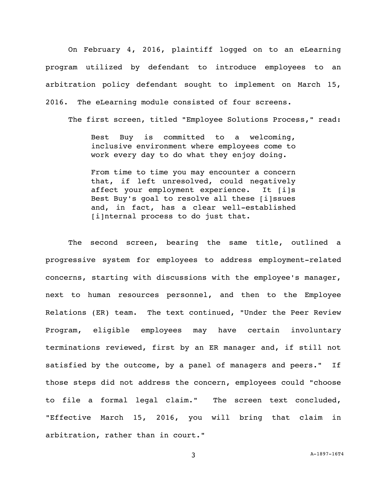On February 4, 2016, plaintiff logged on to an eLearning program utilized by defendant to introduce employees to an arbitration policy defendant sought to implement on March 15, 2016. The eLearning module consisted of four screens.

The first screen, titled "Employee Solutions Process," read:

Best Buy is committed to a welcoming, inclusive environment where employees come to work every day to do what they enjoy doing.

From time to time you may encounter a concern that, if left unresolved, could negatively affect your employment experience. It [i]s Best Buy's goal to resolve all these [i]ssues and, in fact, has a clear well-established [i]nternal process to do just that.

The second screen, bearing the same title, outlined a progressive system for employees to address employment-related concerns, starting with discussions with the employee's manager, next to human resources personnel, and then to the Employee Relations (ER) team. The text continued, "Under the Peer Review Program, eligible employees may have certain involuntary terminations reviewed, first by an ER manager and, if still not satisfied by the outcome, by a panel of managers and peers." If those steps did not address the concern, employees could "choose to file a formal legal claim." The screen text concluded, "Effective March 15, 2016, you will bring that claim in arbitration, rather than in court."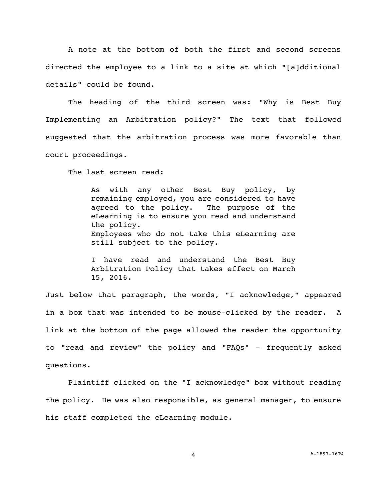A note at the bottom of both the first and second screens directed the employee to a link to a site at which "[a]dditional details" could be found.

The heading of the third screen was: "Why is Best Buy Implementing an Arbitration policy?" The text that followed suggested that the arbitration process was more favorable than court proceedings.

The last screen read:

As with any other Best Buy policy, by remaining employed, you are considered to have agreed to the policy. The purpose of the eLearning is to ensure you read and understand the policy. Employees who do not take this eLearning are still subject to the policy.

I have read and understand the Best Buy Arbitration Policy that takes effect on March 15, 2016.

Just below that paragraph, the words, "I acknowledge," appeared in a box that was intended to be mouse-clicked by the reader. A link at the bottom of the page allowed the reader the opportunity to "read and review" the policy and "FAQs" - frequently asked questions.

Plaintiff clicked on the "I acknowledge" box without reading the policy. He was also responsible, as general manager, to ensure his staff completed the eLearning module.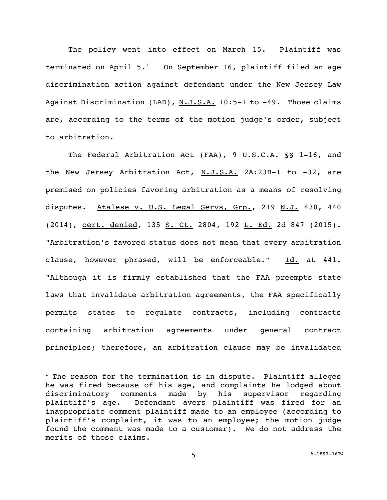The policy went into effect on March 15. Plaintiff was terminated on April  $5.1$  On September 16, plaintiff filed an age discrimination action against defendant under the New Jersey Law Against Discrimination (LAD), N.J.S.A. 10:5-1 to -49. Those claims are, according to the terms of the motion judge's order, subject to arbitration.

The Federal Arbitration Act (FAA), 9 U.S.C.A. §§ 1-16, and the New Jersey Arbitration Act, N.J.S.A. 2A:23B-1 to -32, are premised on policies favoring arbitration as a means of resolving disputes. Atalese v. U.S. Legal Servs, Grp., 219 N.J. 430, 440 (2014), cert. denied, 135 S. Ct. 2804, 192 L. Ed. 2d 847 (2015). "Arbitration's favored status does not mean that every arbitration clause, however phrased, will be enforceable." Id. at 441. "Although it is firmly established that the FAA preempts state laws that invalidate arbitration agreements, the FAA specifically permits states to regulate contracts, including contracts containing arbitration agreements under general contract principles; therefore, an arbitration clause may be invalidated

 $1$  The reason for the termination is in dispute. Plaintiff alleges he was fired because of his age, and complaints he lodged about discriminatory comments made by his supervisor regarding plaintiff's age. Defendant avers plaintiff was fired for an inappropriate comment plaintiff made to an employee (according to plaintiff's complaint, it was to an employee; the motion judge found the comment was made to a customer). We do not address the merits of those claims.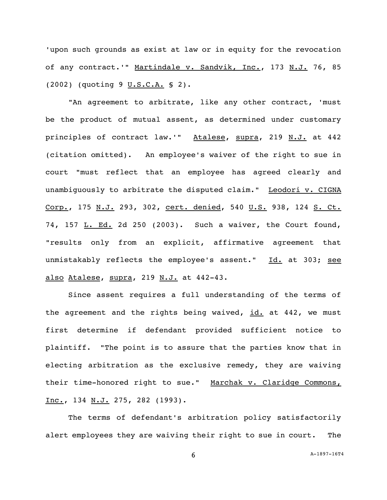'upon such grounds as exist at law or in equity for the revocation of any contract.'" Martindale v. Sandvik, Inc., 173 N.J. 76, 85 (2002) (quoting 9 U.S.C.A. § 2).

"An agreement to arbitrate, like any other contract, 'must be the product of mutual assent, as determined under customary principles of contract law.'" Atalese, supra, 219 N.J. at 442 (citation omitted). An employee's waiver of the right to sue in court "must reflect that an employee has agreed clearly and unambiguously to arbitrate the disputed claim." Leodori v. CIGNA Corp., 175 N.J. 293, 302, cert. denied, 540 U.S. 938, 124 S. Ct. 74, 157 L. Ed. 2d 250 (2003). Such a waiver, the Court found, "results only from an explicit, affirmative agreement that unmistakably reflects the employee's assent." Id. at 303; see also Atalese, supra, 219 N.J. at 442-43.

Since assent requires a full understanding of the terms of the agreement and the rights being waived,  $id.$  at 442, we must first determine if defendant provided sufficient notice to plaintiff. "The point is to assure that the parties know that in electing arbitration as the exclusive remedy, they are waiving their time-honored right to sue." Marchak v. Claridge Commons, Inc., 134 N.J. 275, 282 (1993).

The terms of defendant's arbitration policy satisfactorily alert employees they are waiving their right to sue in court. The

6 [A-1897-16T4](#page-0-0)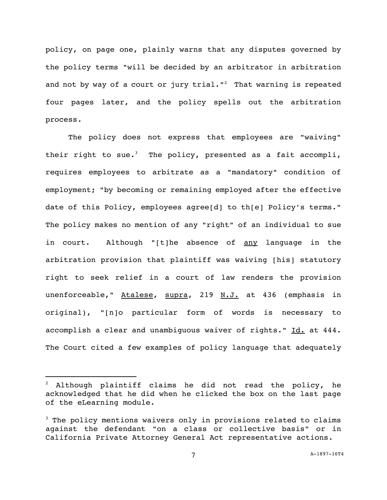policy, on page one, plainly warns that any disputes governed by the policy terms "will be decided by an arbitrator in arbitration and not by way of a court or jury  $trial·<sup>2</sup>$  That warning is repeated four pages later, and the policy spells out the arbitration process.

The policy does not express that employees are "waiving" their right to sue.<sup>3</sup> The policy, presented as a fait accompli, requires employees to arbitrate as a "mandatory" condition of employment; "by becoming or remaining employed after the effective date of this Policy, employees agree[d] to th[e] Policy's terms." The policy makes no mention of any "right" of an individual to sue in court. Although "[t]he absence of any language in the arbitration provision that plaintiff was waiving [his] statutory right to seek relief in a court of law renders the provision unenforceable," Atalese, supra, 219 N.J. at 436 (emphasis in original), "[n]o particular form of words is necessary to accomplish a clear and unambiguous waiver of rights." Id. at 444. The Court cited a few examples of policy language that adequately

 $2$  Although plaintiff claims he did not read the policy, he acknowledged that he did when he clicked the box on the last page of the eLearning module.

 $3$  The policy mentions waivers only in provisions related to claims against the defendant "on a class or collective basis" or in California Private Attorney General Act representative actions.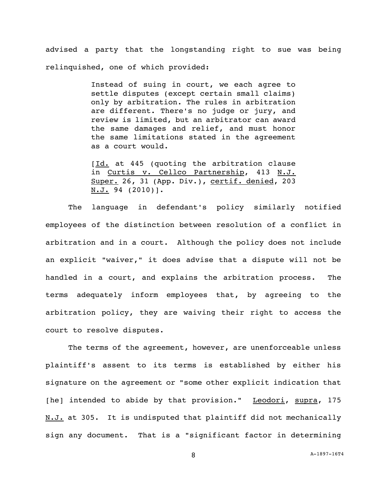advised a party that the longstanding right to sue was being relinquished, one of which provided:

> Instead of suing in court, we each agree to settle disputes (except certain small claims) only by arbitration. The rules in arbitration are different. There's no judge or jury, and review is limited, but an arbitrator can award the same damages and relief, and must honor the same limitations stated in the agreement as a court would.

> [Id. at 445 (quoting the arbitration clause in Curtis v. Cellco Partnership, 413 N.J. Super. 26, 31 (App. Div.), certif. denied, 203 N.J. 94 (2010)].

The language in defendant's policy similarly notified employees of the distinction between resolution of a conflict in arbitration and in a court. Although the policy does not include an explicit "waiver," it does advise that a dispute will not be handled in a court, and explains the arbitration process. The terms adequately inform employees that, by agreeing to the arbitration policy, they are waiving their right to access the court to resolve disputes.

The terms of the agreement, however, are unenforceable unless plaintiff's assent to its terms is established by either his signature on the agreement or "some other explicit indication that [he] intended to abide by that provision." Leodori, supra, 175 N.J. at 305. It is undisputed that plaintiff did not mechanically sign any document. That is a "significant factor in determining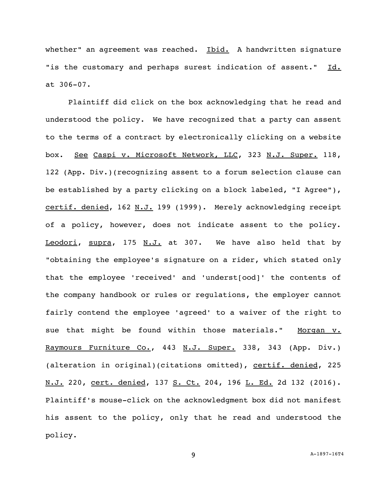whether" an agreement was reached. Ibid. A handwritten signature "is the customary and perhaps surest indication of assent." Id. at 306-07.

Plaintiff did click on the box acknowledging that he read and understood the policy. We have recognized that a party can assent to the terms of a contract by electronically clicking on a website box. See Caspi v. Microsoft Network, LLC, 323 N.J. Super. 118, 122 (App. Div.)(recognizing assent to a forum selection clause can be established by a party clicking on a block labeled, "I Agree"), certif. denied, 162 N.J. 199 (1999). Merely acknowledging receipt of a policy, however, does not indicate assent to the policy. Leodori, supra, 175 N.J. at 307. We have also held that by "obtaining the employee's signature on a rider, which stated only that the employee 'received' and 'underst[ood]' the contents of the company handbook or rules or regulations, the employer cannot fairly contend the employee 'agreed' to a waiver of the right to sue that might be found within those materials." Morgan v. Raymours Furniture Co., 443 N.J. Super. 338, 343 (App. Div.) (alteration in original)(citations omitted), certif. denied, 225 N.J. 220, cert. denied, 137 S. Ct. 204, 196 L. Ed. 2d 132 (2016). Plaintiff's mouse-click on the acknowledgment box did not manifest his assent to the policy, only that he read and understood the policy.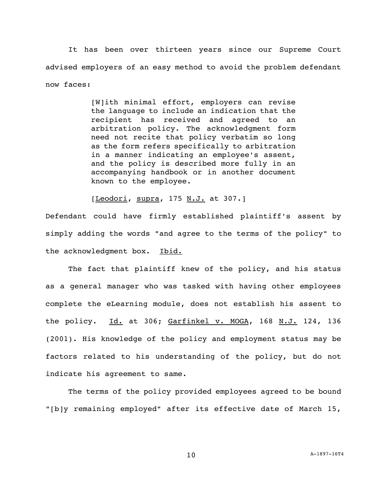It has been over thirteen years since our Supreme Court advised employers of an easy method to avoid the problem defendant now faces:

> [W]ith minimal effort, employers can revise the language to include an indication that the recipient has received and agreed to an arbitration policy. The acknowledgment form need not recite that policy verbatim so long as the form refers specifically to arbitration in a manner indicating an employee's assent, and the policy is described more fully in an accompanying handbook or in another document known to the employee.

[Leodori, supra, 175 N.J. at 307.]

Defendant could have firmly established plaintiff's assent by simply adding the words "and agree to the terms of the policy" to the acknowledgment box. Ibid.

The fact that plaintiff knew of the policy, and his status as a general manager who was tasked with having other employees complete the eLearning module, does not establish his assent to the policy. Id. at 306; Garfinkel v. MOGA, 168 N.J. 124, 136 (2001). His knowledge of the policy and employment status may be factors related to his understanding of the policy, but do not indicate his agreement to same.

The terms of the policy provided employees agreed to be bound "[b]y remaining employed" after its effective date of March 15,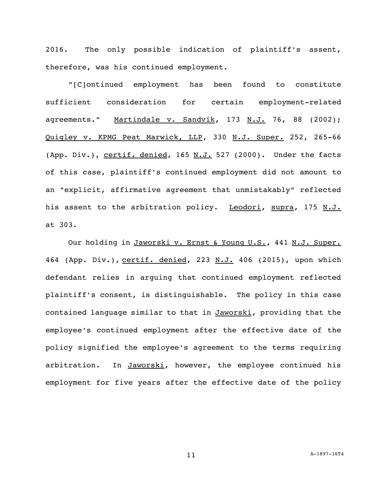2016. The only possible indication of plaintiff's assent, therefore, was his continued employment.

"[C]ontinued employment has been found to constitute sufficient consideration for certain employment-related agreements." Martindale v. Sandvik, 173 N.J. 76, 88 (2002); Quigley v. KPMG Peat Marwick, LLP, 330 N.J. Super. 252, 265-66 (App. Div.), certif. denied, 165  $N.J.$  527 (2000). Under the facts of this case, plaintiff's continued employment did not amount to an "explicit, affirmative agreement that unmistakably" reflected his assent to the arbitration policy. Leodori, supra, 175 N.J. at 303.

Our holding in Jaworski v. Ernst & Young U.S., 441 N.J. Super. 464 (App. Div.), certif. denied, 223 N.J. 406 (2015), upon which defendant relies in arguing that continued employment reflected plaintiff's consent, is distinguishable. The policy in this case contained language similar to that in Jaworski, providing that the employee's continued employment after the effective date of the policy signified the employee's agreement to the terms requiring arbitration. In Jaworski, however, the employee continued his employment for five years after the effective date of the policy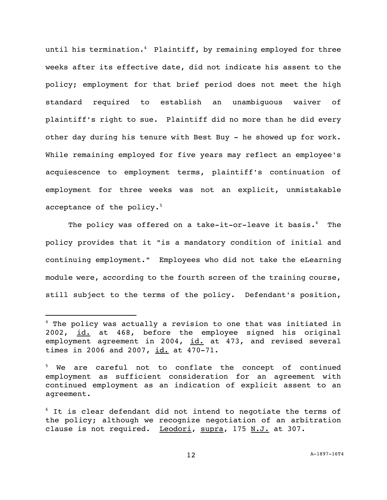until his termination. <sup>4</sup> Plaintiff, by remaining employed for three weeks after its effective date, did not indicate his assent to the policy; employment for that brief period does not meet the high standard required to establish an unambiguous waiver of plaintiff's right to sue. Plaintiff did no more than he did every other day during his tenure with Best Buy - he showed up for work. While remaining employed for five years may reflect an employee's acquiescence to employment terms, plaintiff's continuation of employment for three weeks was not an explicit, unmistakable acceptance of the policy.<sup>5</sup>

The policy was offered on a take-it-or-leave it basis.<sup>6</sup> The policy provides that it "is a mandatory condition of initial and continuing employment." Employees who did not take the eLearning module were, according to the fourth screen of the training course, still subject to the terms of the policy. Defendant's position,

<sup>4</sup> The policy was actually a revision to one that was initiated in 2002, id. at 468, before the employee signed his original employment agreement in 2004, id. at 473, and revised several times in 2006 and 2007, id. at 470-71.

<sup>&</sup>lt;sup>5</sup> We are careful not to conflate the concept of continued employment as sufficient consideration for an agreement with continued employment as an indication of explicit assent to an agreement.

 $6$  It is clear defendant did not intend to negotiate the terms of the policy; although we recognize negotiation of an arbitration clause is not required. Leodori, supra, 175 N.J. at 307.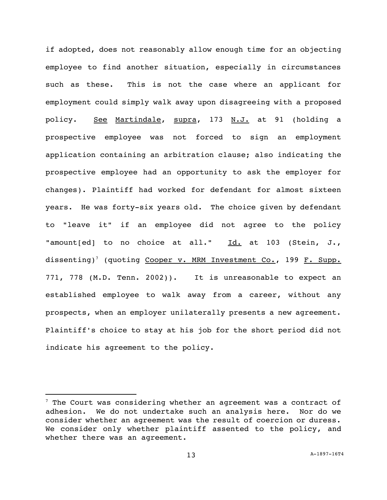if adopted, does not reasonably allow enough time for an objecting employee to find another situation, especially in circumstances such as these. This is not the case where an applicant for employment could simply walk away upon disagreeing with a proposed policy. See Martindale, supra, 173 N.J. at 91 (holding a prospective employee was not forced to sign an employment application containing an arbitration clause; also indicating the prospective employee had an opportunity to ask the employer for changes). Plaintiff had worked for defendant for almost sixteen years. He was forty-six years old. The choice given by defendant to "leave it" if an employee did not agree to the policy "amount[ed] to no choice at all." Id. at 103 (Stein, J., dissenting)<sup>7</sup> (quoting Cooper v. MRM Investment Co., 199 F. Supp. 771, 778 (M.D. Tenn. 2002)). It is unreasonable to expect an established employee to walk away from a career, without any prospects, when an employer unilaterally presents a new agreement. Plaintiff's choice to stay at his job for the short period did not indicate his agreement to the policy.

 $7$  The Court was considering whether an agreement was a contract of adhesion. We do not undertake such an analysis here. Nor do we consider whether an agreement was the result of coercion or duress. We consider only whether plaintiff assented to the policy, and whether there was an agreement.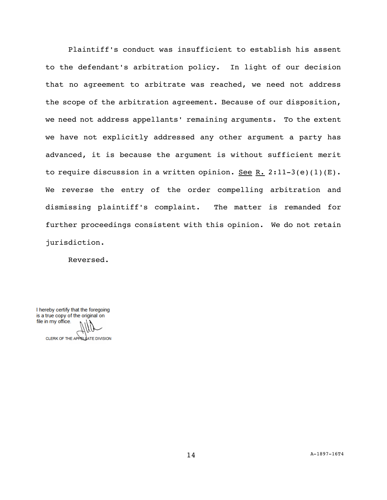Plaintiff's conduct was insufficient to establish his assent to the defendant's arbitration policy. In light of our decision that no agreement to arbitrate was reached, we need not address the scope of the arbitration agreement. Because of our disposition, we need not address appellants' remaining arguments. To the extent we have not explicitly addressed any other argument a party has advanced, it is because the argument is without sufficient merit to require discussion in a written opinion. See R. 2:11-3(e)(1)(E). We reverse the entry of the order compelling arbitration and dismissing plaintiff's complaint. The matter is remanded for further proceedings consistent with this opinion. We do not retain jurisdiction.

Reversed.

I hereby certify that the foregoing is a true copy of the original on file in my office.

CLERK OF THE APPELLATE DIVISION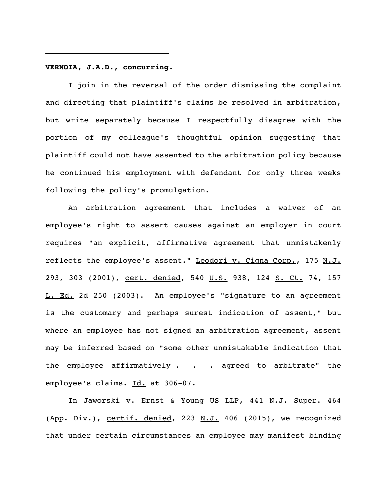## **VERNOIA, J.A.D., concurring.**

I join in the reversal of the order dismissing the complaint and directing that plaintiff's claims be resolved in arbitration, but write separately because I respectfully disagree with the portion of my colleague's thoughtful opinion suggesting that plaintiff could not have assented to the arbitration policy because he continued his employment with defendant for only three weeks following the policy's promulgation.

An arbitration agreement that includes a waiver of an employee's right to assert causes against an employer in court requires "an explicit, affirmative agreement that unmistakenly reflects the employee's assent." Leodori v. Cigna Corp., 175 N.J. 293, 303 (2001), cert. denied, 540 U.S. 938, 124 S. Ct. 74, 157 L. Ed. 2d 250 (2003). An employee's "signature to an agreement is the customary and perhaps surest indication of assent," but where an employee has not signed an arbitration agreement, assent may be inferred based on "some other unmistakable indication that the employee affirmatively . . . agreed to arbitrate" the employee's claims. Id. at 306-07.

In Jaworski v. Ernst & Young US LLP, 441 N.J. Super. 464 (App. Div.), certif. denied, 223 N.J. 406 (2015), we recognized that under certain circumstances an employee may manifest binding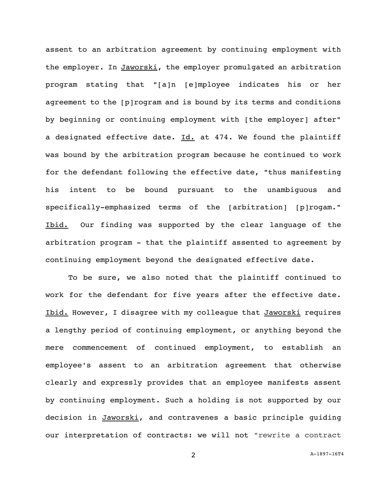assent to an arbitration agreement by continuing employment with the employer. In Jaworski, the employer promulgated an arbitration program stating that "[a]n [e]mployee indicates his or her agreement to the [p]rogram and is bound by its terms and conditions by beginning or continuing employment with [the employer] after" a designated effective date. Id. at 474. We found the plaintiff was bound by the arbitration program because he continued to work for the defendant following the effective date, "thus manifesting his intent to be bound pursuant to the unambiguous and specifically-emphasized terms of the [arbitration] [p]rogam." Ibid. Our finding was supported by the clear language of the arbitration program - that the plaintiff assented to agreement by continuing employment beyond the designated effective date.

To be sure, we also noted that the plaintiff continued to work for the defendant for five years after the effective date. Ibid. However, I disagree with my colleague that Jaworski requires a lengthy period of continuing employment, or anything beyond the mere commencement of continued employment, to establish an employee's assent to an arbitration agreement that otherwise clearly and expressly provides that an employee manifests assent by continuing employment. Such a holding is not supported by our decision in Jaworski, and contravenes a basic principle guiding our interpretation of contracts: we will not "rewrite a contract

2 [A-1897-16T4](#page-0-0)